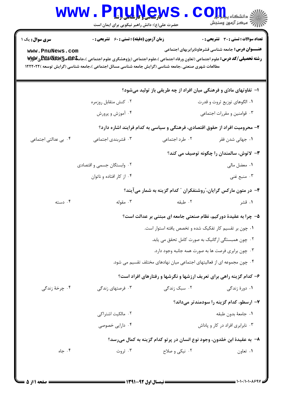|                                                                                                                                                                                                                                                                                                                                           | www.<br>حضرت علی(ع): دانش راهبر نیکویی برای ایمان است | <b><u>nuyews</u></b>                                                        | COIL alsails<br>رآ - مرڪز آزمون وسنڊش        |  |  |  |
|-------------------------------------------------------------------------------------------------------------------------------------------------------------------------------------------------------------------------------------------------------------------------------------------------------------------------------------------|-------------------------------------------------------|-----------------------------------------------------------------------------|----------------------------------------------|--|--|--|
| <b>سری سوال:</b> یک ۱                                                                                                                                                                                                                                                                                                                     | <b>زمان آزمون (دقیقه) : تستی : 60 ٪ تشریحی : 0</b>    |                                                                             | <b>تعداد سوالات : تستي : 30 ٪ تشريحي : 0</b> |  |  |  |
| <b>عنـــوان درس :</b> جامعه شناسی قشرهاونابرابریهای اجتماعی<br>www.PnuNews.com<br><b>رشته تحصیلی/کد درس:</b> علوم اجتماعی (تعاون ورفاه اجتماعی )،علوم اجتماعی (پژوهشگری علوم اجتماعی )،جامعه <b>لکلهای لیکل استان به این موتو</b><br>مطالعات شهری صنعتی ،جامعه شناسی (گرایش جامعه شناسی مسائل اجتماعی )،جامعه شناسی (گرایش توسعه )۱۲۲۲۰۲۲ |                                                       |                                                                             |                                              |  |  |  |
|                                                                                                                                                                                                                                                                                                                                           |                                                       | ۱– تفاوتهای مادّی و فرهنگی میان افراد از چه طریقی باز تولید میشود؟          |                                              |  |  |  |
|                                                                                                                                                                                                                                                                                                                                           | ۰۲ کنش متقابل روزمره                                  |                                                                             | ۰۱ الگوهای توزیع ثروت و قدرت                 |  |  |  |
|                                                                                                                                                                                                                                                                                                                                           | ۰۴ آموزش و پرورش                                      |                                                                             | ۰۳ قوامنین و مقررات اجتماعی                  |  |  |  |
|                                                                                                                                                                                                                                                                                                                                           |                                                       | ۲- محرومیت افراد از حقوق اقتصادی، فرهنگی و سیاسی به کدام فرایند اشاره دارد؟ |                                              |  |  |  |
| ۰۴ بی عدالتی اجتماعی                                                                                                                                                                                                                                                                                                                      | ۰۳ قشربندی اجتماعی                                    | ۰۲ طرد اجتماعی                                                              | ۰۱ جهانی شدن فقر                             |  |  |  |
|                                                                                                                                                                                                                                                                                                                                           |                                                       |                                                                             | ۳- لاتوش، سالمندان را چگونه توصیف می کند؟    |  |  |  |
|                                                                                                                                                                                                                                                                                                                                           | ۰۲ وابستگان جسمی و اقتصادی                            |                                                                             | ۰۱ معضل مالی                                 |  |  |  |
|                                                                                                                                                                                                                                                                                                                                           | ۰۴ از کار افتاده و ناتوان                             |                                                                             | ۰۳ منبع غنی                                  |  |  |  |
|                                                                                                                                                                                                                                                                                                                                           |                                                       | ۴- در متون مارکس گرایان، ّروشنفکران ″ کدام گزینه به شمار میآیند؟            |                                              |  |  |  |
| ۰۴ دسته                                                                                                                                                                                                                                                                                                                                   | ۰۳ مقوله                                              | ۰۲ طبقه                                                                     | ۰۱ قشر                                       |  |  |  |
|                                                                                                                                                                                                                                                                                                                                           |                                                       | ۵– چرا به عقیدهٔ دورکیم، نظام صنعتی جامعه ای مبتنی بر عدالت است؟            |                                              |  |  |  |
|                                                                                                                                                                                                                                                                                                                                           |                                                       | ۰۱ چون بر تقسیم کار تفکیک شده و تخصص یافته استوار است.                      |                                              |  |  |  |
|                                                                                                                                                                                                                                                                                                                                           |                                                       | ۰۲ چون همبستگی ارگانیک به صورت کامل تحقق می یابد.                           |                                              |  |  |  |
|                                                                                                                                                                                                                                                                                                                                           |                                                       | ۰۳ چون برابری فرصت ها به صورت همه جانبه وجود دارد.                          |                                              |  |  |  |
|                                                                                                                                                                                                                                                                                                                                           |                                                       | ۰۴ چون مجموعه ای از فعالیتهای اجتماعی میان نهادهای مختلف تقسیم می شود.      |                                              |  |  |  |
|                                                                                                                                                                                                                                                                                                                                           |                                                       | ۶- کدام گزینه راهی برای تعریف ارزشها و نگرشها و رفتارهای افراد است؟         |                                              |  |  |  |
| ۰۴ چرخهٔ زندگی                                                                                                                                                                                                                                                                                                                            | ۰۳ فرصتهای زندگی                                      | ۰۲ سبک زندگی                                                                | ۰۱ دورهٔ زندگی                               |  |  |  |
|                                                                                                                                                                                                                                                                                                                                           |                                                       |                                                                             | ۷- ارسطو، کدام گزینه را سودمندتر میداند؟     |  |  |  |
|                                                                                                                                                                                                                                                                                                                                           | ۰۲ مالکیت اشتراکی                                     |                                                                             | ٠١. جامعهٔ بدون طبقه                         |  |  |  |
|                                                                                                                                                                                                                                                                                                                                           | ۰۴ دارایی خصوصی                                       |                                                                             | ۰۳ نابرابری افراد در کار و پاداش             |  |  |  |
|                                                                                                                                                                                                                                                                                                                                           |                                                       | ٨− به عقیدهٔ ابن خلدون، وجود نوع انسان در پرتو کدام گزینه به کمال میرسد؟    |                                              |  |  |  |
| ۰۴ جاه                                                                                                                                                                                                                                                                                                                                    | ۰۳ ثروت                                               | ۰۲ نیکی و صلاح                                                              | ۰۱ تعاون                                     |  |  |  |
|                                                                                                                                                                                                                                                                                                                                           |                                                       |                                                                             |                                              |  |  |  |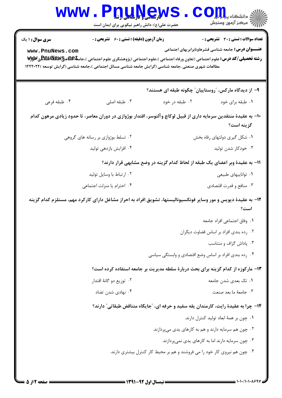|                                                                                                                                | www.PnuNews<br>حضرت علی(ع): دانش راهبر نیکویی برای ایمان است                                                                                                                                                                                                                                      |                                                                                   | الله دانشکاه پیام برای C<br>الله عرکز آزمهن وسنجش                                                          |  |  |
|--------------------------------------------------------------------------------------------------------------------------------|---------------------------------------------------------------------------------------------------------------------------------------------------------------------------------------------------------------------------------------------------------------------------------------------------|-----------------------------------------------------------------------------------|------------------------------------------------------------------------------------------------------------|--|--|
| <b>سری سوال : ۱ یک</b><br>www.PnuNews.com                                                                                      | <b>زمان آزمون (دقیقه) : تستی : 60 ٪ تشریحی : 0</b><br><b>رشته تحصیلی/کد درس:</b> علوم اجتماعی (تعاون ورفاه اجتماعی )،علوم اجتماعی (پژوهشگری علوم اجتماعی )،جامعه <b>لهیهپرCBBپپو</b> یسپی<br>مطالعات شهری صنعتی ،جامعه شناسی (گرایش جامعه شناسی مسائل اجتماعی )،جامعه شناسی (گرایش توسعه )۱۲۲۲۰۲۲ |                                                                                   | <b>تعداد سوالات : تستی : 30 ٪ تشریحی : 0</b><br><b>عنـــوان درس:</b> جامعه شناسی قشرهاونابرابریهای اجتماعی |  |  |
|                                                                                                                                |                                                                                                                                                                                                                                                                                                   | ۹– از دیدگاه مارکس، "روستاییان" چگونه طبقه ای هستند؟                              |                                                                                                            |  |  |
| ۰۴ طبقه فرعي                                                                                                                   | ۰۳ طبقه اصلی                                                                                                                                                                                                                                                                                      | ۰۲ طبقه در خود                                                                    | ۰۱ طبقه برای خود                                                                                           |  |  |
| ∙۱− به عقیدهٔ منتقدین سرمایه داری از قبیل لوکاچ وآلتوسر، اقتدار بوژوازی در دوران معاصر، تا حدود زیادی مرهون کدام<br>گزینه است؟ |                                                                                                                                                                                                                                                                                                   |                                                                                   |                                                                                                            |  |  |
|                                                                                                                                | ۰۲ تسلط بوژوازی بر رسانه های گروهی                                                                                                                                                                                                                                                                |                                                                                   | ۰۱ شکل گیری دولتهای رفاه بخش                                                                               |  |  |
|                                                                                                                                | ۰۴ افزایش بازدهی تولید                                                                                                                                                                                                                                                                            |                                                                                   | ۰۳ خودکار شدن تولید                                                                                        |  |  |
|                                                                                                                                |                                                                                                                                                                                                                                                                                                   | 11- به عقیدهٔ وبر اعضای یک طبقه از لحاظ کدام گزینه در وضع مشابهی قرار دارند؟      |                                                                                                            |  |  |
|                                                                                                                                | ۰۲ ارتباط با وسایل تولید                                                                                                                                                                                                                                                                          |                                                                                   | ۰۱ تواناييهاي طبيعي                                                                                        |  |  |
|                                                                                                                                | ۰۴ احترام یا منزلت اجتماعی                                                                                                                                                                                                                                                                        |                                                                                   | ۰۳ منافع و قدرت اقتصادي                                                                                    |  |  |
| ۱۲- به عقیدهٔ دیویس و مور وسایر فونکسیونالیستها، تشویق افراد به احراز مشاغل دارای کارکرد مهم، مستلزم کدام گزینه<br>است؟        |                                                                                                                                                                                                                                                                                                   |                                                                                   |                                                                                                            |  |  |
|                                                                                                                                |                                                                                                                                                                                                                                                                                                   |                                                                                   | ٠١. وفاق اجتماعي افراد جامعه                                                                               |  |  |
|                                                                                                                                |                                                                                                                                                                                                                                                                                                   |                                                                                   | ۰۲ رده بندی افراد بر اساس قضاوت دیگران                                                                     |  |  |
|                                                                                                                                |                                                                                                                                                                                                                                                                                                   |                                                                                   | ۰۳ یاداش گزاف و متناسب                                                                                     |  |  |
|                                                                                                                                |                                                                                                                                                                                                                                                                                                   | ۰۴ رده بندی افراد بر اساس وضع اقتصادی و وابستگی سیاسی                             |                                                                                                            |  |  |
|                                                                                                                                |                                                                                                                                                                                                                                                                                                   | ۱۳- مارکوزه از کدام گزینه برای بحث دربارهٔ سلطه مدیریت بر جامعه استفاده کرده است؟ |                                                                                                            |  |  |
|                                                                                                                                | ۰۲ توزیع دو گانهٔ اقتدار                                                                                                                                                                                                                                                                          |                                                                                   | ۰۱ تک بعدی شدن جامعه                                                                                       |  |  |
|                                                                                                                                | ۰۴ نهادی شدن تضاد                                                                                                                                                                                                                                                                                 |                                                                                   | ٠٣ جامعهٔ ما بعد صنعت                                                                                      |  |  |
|                                                                                                                                | ۱۴– چرا به عقیدهٔ رایت، کارمندان یقه سفید و حرفه ای، "جایگاه متناقض طبقاتی" دارند؟                                                                                                                                                                                                                |                                                                                   |                                                                                                            |  |  |
|                                                                                                                                |                                                                                                                                                                                                                                                                                                   |                                                                                   | ٠١ چون بر همهٔ ابعاد توليد كنترل دارند.                                                                    |  |  |
|                                                                                                                                |                                                                                                                                                                                                                                                                                                   | ۰۲ چون هم سرمایه دارند و هم به کارهای یدی میپردازند.                              |                                                                                                            |  |  |
|                                                                                                                                |                                                                                                                                                                                                                                                                                                   |                                                                                   | ۰۳ چون سرمایه دارند اما به کارهای یدی نمیپردازند.                                                          |  |  |
|                                                                                                                                |                                                                                                                                                                                                                                                                                                   | ۰۴ چون هم نیروی کار خود را می فروشند و هم بر محیط کار کنترل بیشتری دارند.         |                                                                                                            |  |  |
|                                                                                                                                |                                                                                                                                                                                                                                                                                                   |                                                                                   |                                                                                                            |  |  |

= 1・1・/1・1・1・997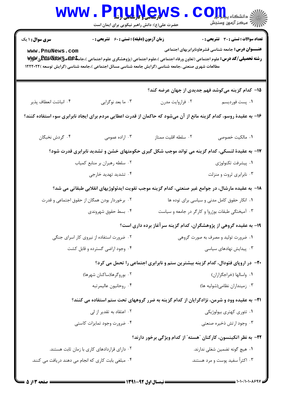|                                                                                                                                                   | www.PnuNews<br>حضرت علی(ع): دانش راهبر نیکویی برای ایمان است            |                                                                                                                                  | الله دانشکاه پیاپالی COM                                                                                   |  |  |
|---------------------------------------------------------------------------------------------------------------------------------------------------|-------------------------------------------------------------------------|----------------------------------------------------------------------------------------------------------------------------------|------------------------------------------------------------------------------------------------------------|--|--|
| <b>سری سوال : ۱ یک</b><br>www.PnuNews.com<br>مطالعات شهری صنعتی ،جامعه شناسی (گرایش جامعه شناسی مسائل اجتماعی )،جامعه شناسی (گرایش توسعه )۱۲۲۲۰۲۲ | <b>زمان آزمون (دقیقه) : تستی : 60 ٪ تشریحی : 0</b>                      | <b>رشته تحصیلی/کد درس: ع</b> لوم اجتماعی (تعاون ورفاه اجتماعی )،علوم اجتماعی (پژوهشگری علوم اجتماعی )،جام <b>عا£ABBپرE و Wyy</b> | <b>تعداد سوالات : تستی : 30 ٪ تشریحی : 0</b><br><b>عنـــوان درس:</b> جامعه شناسی قشرهاونابرابریهای اجتماعی |  |  |
|                                                                                                                                                   |                                                                         |                                                                                                                                  | ۱۵– کدام گزینه میکوشد فهم جدیدی از جهان عرضه کند؟                                                          |  |  |
| ۰۴ انباشت انعطاف پذیر                                                                                                                             | ۰۳ ما بعد نوگرايي                                                       | ۰۲ فراروايت مدرن                                                                                                                 | ۰۱ پست فوردیسم                                                                                             |  |  |
| ۱۶– به عقیدهٔ روسو، کدام گزینه مانع از آن میشود که حاکمان از قدرت اعطایی مردم برای ایجاد نابرابری سوء استفاده کنند؟                               |                                                                         |                                                                                                                                  |                                                                                                            |  |  |
| ۰۴ گردش نخبگان                                                                                                                                    | ۰۳ اراده عمومی                                                          | ٠٢ سلطه اقليت ممتاز                                                                                                              | ۰۱ مالکیت خصوصی                                                                                            |  |  |
|                                                                                                                                                   |                                                                         | ۱۷– به عقیدهٔ لنسکی، کدام گزینه می تواند موجب شکل گیری حکومتهای خشن و تشدید نابرابری قدرت شود؟                                   |                                                                                                            |  |  |
| ۰۲ سلطه رهبران بر منابع کمیاب                                                                                                                     |                                                                         | ٠١. پيشرفت تكنولوژى                                                                                                              |                                                                                                            |  |  |
| ۰۴ تشدید تهدید خارجی                                                                                                                              |                                                                         | ۰۳ نابرابری ثروت و منزلت                                                                                                         |                                                                                                            |  |  |
|                                                                                                                                                   |                                                                         | ۱۸− به عقیده مارشال، در جوامع غیر صنعتی، کدام گزینه موجب تقویت ایدئولوژیهای انقلابی طبقاتی می شد؟                                |                                                                                                            |  |  |
| ۰۲ برخوردار بودن همگان از حقوق اجتماعی و قدرت                                                                                                     |                                                                         | ۰۱ انکار حقوق کامل مدنی و سیاسی برای توده ها                                                                                     |                                                                                                            |  |  |
|                                                                                                                                                   | ۰۳ آمیختگی طبقات بوژروا و کارگر در جامعه و سیاست<br>۰۴ بسط حقوق شهروندی |                                                                                                                                  |                                                                                                            |  |  |
|                                                                                                                                                   |                                                                         | ۱۹- به عقیده گروهی از پژوهشگران، کدام گزینه سرآغاز برده داری است؟                                                                |                                                                                                            |  |  |
|                                                                                                                                                   | ۰۲ ضرورت استفاده از نیروی کار اسرای جنگی                                | ۰۱ ضرورت تولید و مصرف به صورت گروهی                                                                                              |                                                                                                            |  |  |
|                                                                                                                                                   | ۰۴ وجود اراضي گسترده و قابل كشت                                         |                                                                                                                                  | ۰۳ پیدایش نهادهای سیاسی                                                                                    |  |  |
|                                                                                                                                                   |                                                                         | +۲- در اروپای فئودال، کدام گزینه بیشترین ستم و نابرابری اجتماعی را تحمل می کرد؟                                                  |                                                                                                            |  |  |
|                                                                                                                                                   | ۰۲ بوروگرها(ساكنان شهرها)                                               |                                                                                                                                  | ۰۱ واسالها (خراجگزاران)                                                                                    |  |  |
|                                                                                                                                                   | ۰۴ روحانيون عاليمرتبه                                                   |                                                                                                                                  | ۰۳ زمینداران نظامی(شولیه ها)                                                                               |  |  |
| <b>۲۱</b> - به عقیده وود و شرمن، نژادگرایان از کدام گزینه به ضرر گروههای تحت ستم استفاده می کنند؟                                                 |                                                                         |                                                                                                                                  |                                                                                                            |  |  |
|                                                                                                                                                   | ۰۲ اعتقاد به تقدیر از لی                                                |                                                                                                                                  | ۰۱ تئوري کهتري بيولوژيکي                                                                                   |  |  |
|                                                                                                                                                   | ۰۴ ضرورت وجود تمايزات كاستى                                             |                                                                                                                                  | ۰۳ وجود ارتش ذخیره صنعتی                                                                                   |  |  |
|                                                                                                                                                   | ۲۲– به نظر اتکینسون، کارکنان "هسته" از کدام ویژگی برخور دارند؟          |                                                                                                                                  |                                                                                                            |  |  |
|                                                                                                                                                   | ۰۲ دارای قراردادهای کاری با زمان ثابت هستند.                            |                                                                                                                                  | ۰۱ هیچ گونه تضمین شغلی ندارند.                                                                             |  |  |
| ۰۴ مبلغی بابت کاری که انجام می دهند دریافت می کنند.                                                                                               |                                                                         |                                                                                                                                  | ۰۳ اکثراً سفید پوست و مرد هستند.                                                                           |  |  |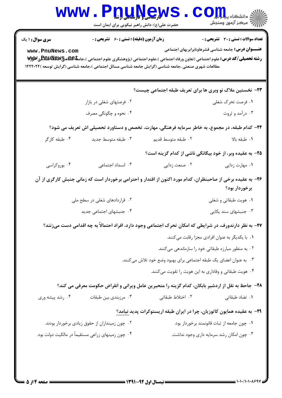| <b>WWW</b>                                                                                                                                                  | <b>V المسلم و تاریل بال بال</b><br>حضرت علی(ع): دانش راهبر نیکویی برای ایمان است |                                                                                                  | . دانشگاه پ <b>یاج ت<mark>و</mark>ر</b><br>رآب مرڪز آزمون وسنڊش |  |
|-------------------------------------------------------------------------------------------------------------------------------------------------------------|----------------------------------------------------------------------------------|--------------------------------------------------------------------------------------------------|-----------------------------------------------------------------|--|
| <b>سری سوال : ۱ یک</b>                                                                                                                                      | <b>زمان آزمون (دقیقه) : تستی : 60 گشریحی : 0</b>                                 |                                                                                                  | <b>تعداد سوالات : تستی : 30 ٪ تشریحی : 0</b>                    |  |
| www.PnuNews.com<br><b>رشته تحصیلی/کد درس: ع</b> لوم اجتماعی (تعاون ورفاه اجتماعی )،علوم اجتماعی (پژوهشگری علوم اجتماعی )،جامعه <b>لهیهچپپهپالتیالی سوپق</b> |                                                                                  |                                                                                                  | <b>عنـــوان درس:</b> جامعه شناسی قشرهاونابرابریهای اجتماعی      |  |
| مطالعات شهری صنعتی ،جامعه شناسی (گرایش جامعه شناسی مسائل اجتماعی )،جامعه شناسی (گرایش توسعه )۲۲۲۰۲۲                                                         |                                                                                  |                                                                                                  |                                                                 |  |
|                                                                                                                                                             |                                                                                  | <b>۲۳</b> - نخستین ملاک نو وبری ها برای تعریف طبقه اجتماعی چیست؟                                 |                                                                 |  |
|                                                                                                                                                             | ۰۲ فرصتهای شغلی در بازار                                                         |                                                                                                  | ۰۱ فرصت تحرک شغلی                                               |  |
|                                                                                                                                                             | ۰۴ نحوه و چگونگی مصرف                                                            |                                                                                                  | ۰۳ درآمد و ثروت                                                 |  |
|                                                                                                                                                             |                                                                                  | ۲۴- کدام طبقه، در مجموع، به خاطر سرمایه فرهنگی، مهارت، تخصص و دستاورد تحصیلی اش تعریف می شود؟    |                                                                 |  |
| ۰۴ طبقه کارگر                                                                                                                                               | ۰۳ طبقه متوسط جديد                                                               | ۰۲ طبقه متوسط قديم                                                                               | ٠١. طبقه بالا                                                   |  |
|                                                                                                                                                             |                                                                                  |                                                                                                  | ۲۵– به عقیده وبر، از خود بیگانگی ناشی از کدام گزینه است؟        |  |
| ۰۴ بوروکراسی                                                                                                                                                | ۰۳ انسداد اجتماعی                                                                | ۰۲ صنعت زدایی                                                                                    | ۰۱ مهارت زدایی                                                  |  |
| ۲۶- به عقیده برخی از صاحبنظران، کدام مورد اکنون از اقتدار و احترامی برخوردار است که زمانی جنبش کارگری از آن                                                 |                                                                                  |                                                                                                  | برخوردار بود؟                                                   |  |
|                                                                                                                                                             | ۲. قراردادهای شغلی در سطح ملی                                                    |                                                                                                  | ۰۱ هويت طبقاتي و شغلي                                           |  |
|                                                                                                                                                             | ۰۴ جنبشهای اجتماعی جدید                                                          |                                                                                                  | ۰۳ جنبشهای سند یکایی                                            |  |
| ۲۷– به نظر دارندورف، در شرایطی که امکان تحرک اجتماعی وجود دارد، افراد احتمالاً به چه اقدامی دست میزنند؟                                                     |                                                                                  |                                                                                                  |                                                                 |  |
|                                                                                                                                                             |                                                                                  |                                                                                                  | ٠١. با يكديگر به عنوان افرادي مجزا رقابت ميكنند.                |  |
|                                                                                                                                                             |                                                                                  |                                                                                                  | ۰۲ به منظور مبارزه طبقاتی خود را سازماندهی میکنند.              |  |
|                                                                                                                                                             | ۰۳ به عنوان اعضای یک طبقه اجتماعی برای بهبود وضع خود تلاش میکنند.                |                                                                                                  |                                                                 |  |
|                                                                                                                                                             |                                                                                  | ۰۴ هویت طبقاتی و وفاداری به این هویت را تقویت میکنند.                                            |                                                                 |  |
|                                                                                                                                                             |                                                                                  | ۲۸– جاحظ به نقل از اردشیر بابکان، کدام گزینه را متحیرین عامل ویرانی و انقراض حکومت معرفی می کند؟ |                                                                 |  |
| ۰۴ رشد پیشه وری                                                                                                                                             | ۰۳ مرزبندی بین طبقات                                                             | ٢. اختلاط طبقاتي                                                                                 | ۰۱ تضاد طبقاتی                                                  |  |
|                                                                                                                                                             |                                                                                  | ۲۹- به عقیده همایون کاتوزیان، چرا در ایران طبقه اریستوکرات پدید نیامد؟                           |                                                                 |  |
| ۰۲ چون زمینداران از حقوق زیادی برخوردار بودند.                                                                                                              |                                                                                  |                                                                                                  | ۰۱ چون جامعه از ثبات قانونمند برخوردار بود.                     |  |
| ۰۴ چون زمینهای زراعی مستقیماً در مالکیت دولت بود.                                                                                                           |                                                                                  |                                                                                                  | ۰۳ چون امکان رشد سرمایه داری وجود نداشت.                        |  |
|                                                                                                                                                             |                                                                                  |                                                                                                  |                                                                 |  |
|                                                                                                                                                             |                                                                                  |                                                                                                  |                                                                 |  |